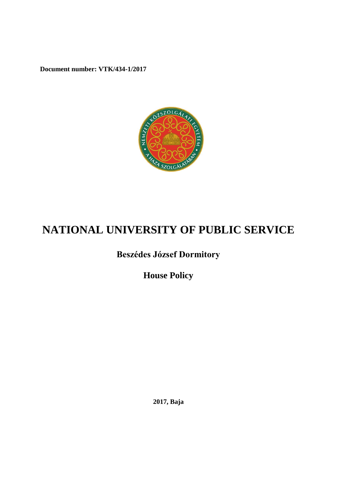**Document number: VTK/434-1/2017**



# **NATIONAL UNIVERSITY OF PUBLIC SERVICE**

# **Beszédes József Dormitory**

**House Policy**

**2017, Baja**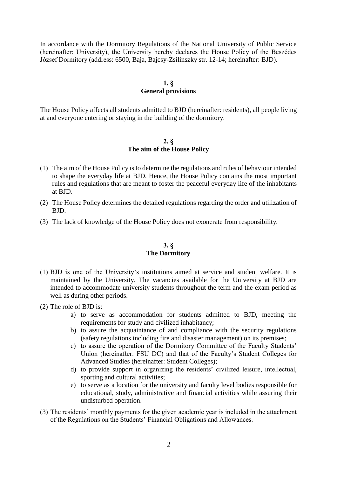In accordance with the Dormitory Regulations of the National University of Public Service (hereinafter: University), the University hereby declares the House Policy of the Beszédes József Dormitory (address: 6500, Baja, Bajcsy-Zsilinszky str. 12-14; hereinafter: BJD).

# **1. § General provisions**

The House Policy affects all students admitted to BJD (hereinafter: residents), all people living at and everyone entering or staying in the building of the dormitory.

#### **2. § The aim of the House Policy**

- (1) The aim of the House Policy is to determine the regulations and rules of behaviour intended to shape the everyday life at BJD. Hence, the House Policy contains the most important rules and regulations that are meant to foster the peaceful everyday life of the inhabitants at BJD.
- (2) The House Policy determines the detailed regulations regarding the order and utilization of BJD.
- (3) The lack of knowledge of the House Policy does not exonerate from responsibility.

# **3. § The Dormitory**

- (1) BJD is one of the University's institutions aimed at service and student welfare. It is maintained by the University. The vacancies available for the University at BJD are intended to accommodate university students throughout the term and the exam period as well as during other periods.
- (2) The role of BJD is:
	- a) to serve as accommodation for students admitted to BJD, meeting the requirements for study and civilized inhabitancy;
	- b) to assure the acquaintance of and compliance with the security regulations (safety regulations including fire and disaster management) on its premises;
	- c) to assure the operation of the Dormitory Committee of the Faculty Students' Union (hereinafter: FSU DC) and that of the Faculty's Student Colleges for Advanced Studies (hereinafter: Student Colleges);
	- d) to provide support in organizing the residents' civilized leisure, intellectual, sporting and cultural activities;
	- e) to serve as a location for the university and faculty level bodies responsible for educational, study, administrative and financial activities while assuring their undisturbed operation.
- (3) The residents' monthly payments for the given academic year is included in the attachment of the Regulations on the Students' Financial Obligations and Allowances.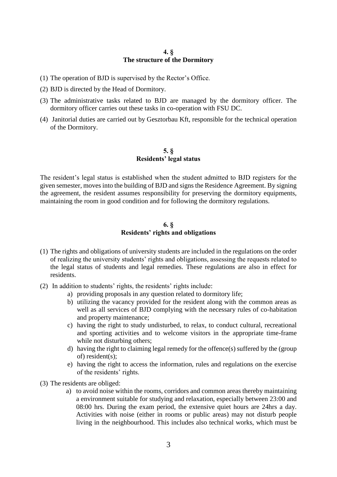#### **4. § The structure of the Dormitory**

- (1) The operation of BJD is supervised by the Rector's Office.
- (2) BJD is directed by the Head of Dormitory.
- (3) The administrative tasks related to BJD are managed by the dormitory officer. The dormitory officer carries out these tasks in co-operation with FSU DC.
- (4) Janitorial duties are carried out by Gesztorbau Kft, responsible for the technical operation of the Dormitory.

#### **5. § Residents' legal status**

The resident's legal status is established when the student admitted to BJD registers for the given semester, moves into the building of BJD and signs the Residence Agreement. By signing the agreement, the resident assumes responsibility for preserving the dormitory equipments, maintaining the room in good condition and for following the dormitory regulations.

#### **6. § Residents' rights and obligations**

- (1) The rights and obligations of university students are included in the regulations on the order of realizing the university students' rights and obligations, assessing the requests related to the legal status of students and legal remedies. These regulations are also in effect for residents.
- (2) In addition to students' rights, the residents' rights include:
	- a) providing proposals in any question related to dormitory life;
	- b) utilizing the vacancy provided for the resident along with the common areas as well as all services of BJD complying with the necessary rules of co-habitation and property maintenance;
	- c) having the right to study undisturbed, to relax, to conduct cultural, recreational and sporting activities and to welcome visitors in the appropriate time-frame while not disturbing others;
	- d) having the right to claiming legal remedy for the offence(s) suffered by the (group of) resident(s);
	- e) having the right to access the information, rules and regulations on the exercise of the residents' rights.
- (3) The residents are obliged:
	- a) to avoid noise within the rooms, corridors and common areas thereby maintaining a environment suitable for studying and relaxation, especially between 23:00 and 08:00 hrs. During the exam period, the extensive quiet hours are 24hrs a day. Activities with noise (either in rooms or public areas) may not disturb people living in the neighbourhood. This includes also technical works, which must be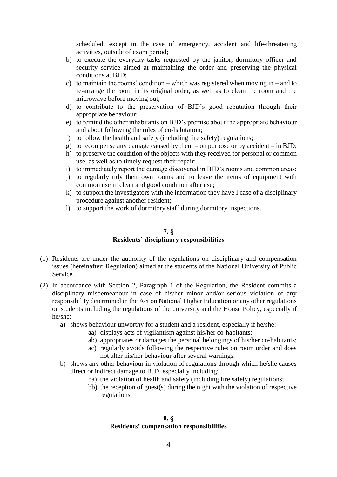scheduled, except in the case of emergency, accident and life-threatening activities, outside of exam period;

- b) to execute the everyday tasks requested by the janitor, dormitory officer and security service aimed at maintaining the order and preserving the physical conditions at BJD;
- c) to maintain the rooms' condition which was registered when moving in and to re-arrange the room in its original order, as well as to clean the room and the microwave before moving out;
- d) to contribute to the preservation of BJD's good reputation through their appropriate behaviour;
- e) to remind the other inhabitants on BJD's premise about the appropriate behaviour and about following the rules of co-habitation;
- f) to follow the health and safety (including fire safety) regulations;
- g) to recompense any damage caused by them on purpose or by accident in BJD;
- h) to preserve the condition of the objects with they received for personal or common use, as well as to timely request their repair;
- i) to immediately report the damage discovered in BJD's rooms and common areas;
- j) to regularly tidy their own rooms and to leave the items of equipment with common use in clean and good condition after use;
- k) to support the investigators with the information they have I case of a disciplinary procedure against another resident;
- l) to support the work of dormitory staff during dormitory inspections.

#### **7. § Residents' disciplinary responsibilities**

- (1) Residents are under the authority of the regulations on disciplinary and compensation issues (hereinafter: Regulation) aimed at the students of the National University of Public Service.
- (2) In accordance with Section 2, Paragraph 1 of the Regulation, the Resident commits a disciplinary misdemeanour in case of his/her minor and/or serious violation of any responsibility determined in the Act on National Higher Education or any other regulations on students including the regulations of the university and the House Policy, especially if he/she:
	- a) shows behaviour unworthy for a student and a resident, especially if he/she:
		- aa) displays acts of vigilantism against his/her co-habitants;
		- ab) appropriates or damages the personal belongings of his/her co-habitants;
		- ac) regularly avoids following the respective rules on room order and does not alter his/her behaviour after several warnings.
	- b) shows any other behaviour in violation of regulations through which he/she causes direct or indirect damage to BJD, especially including:
		- ba) the violation of health and safety (including fire safety) regulations;
		- bb) the reception of guest(s) during the night with the violation of respective regulations.

#### **8. § Residents' compensation responsibilities**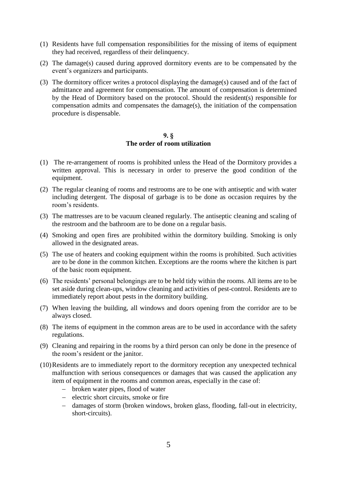- (1) Residents have full compensation responsibilities for the missing of items of equipment they had received, regardless of their delinquency.
- (2) The damage(s) caused during approved dormitory events are to be compensated by the event's organizers and participants.
- (3) The dormitory officer writes a protocol displaying the damage(s) caused and of the fact of admittance and agreement for compensation. The amount of compensation is determined by the Head of Dormitory based on the protocol. Should the resident(s) responsible for compensation admits and compensates the damage(s), the initiation of the compensation procedure is dispensable.

#### **9. § The order of room utilization**

- (1) The re-arrangement of rooms is prohibited unless the Head of the Dormitory provides a written approval. This is necessary in order to preserve the good condition of the equipment.
- (2) The regular cleaning of rooms and restrooms are to be one with antiseptic and with water including detergent. The disposal of garbage is to be done as occasion requires by the room's residents.
- (3) The mattresses are to be vacuum cleaned regularly. The antiseptic cleaning and scaling of the restroom and the bathroom are to be done on a regular basis.
- (4) Smoking and open fires are prohibited within the dormitory building. Smoking is only allowed in the designated areas.
- (5) The use of heaters and cooking equipment within the rooms is prohibited. Such activities are to be done in the common kitchen. Exceptions are the rooms where the kitchen is part of the basic room equipment.
- (6) The residents' personal belongings are to be held tidy within the rooms. All items are to be set aside during clean-ups, window cleaning and activities of pest-control. Residents are to immediately report about pests in the dormitory building.
- (7) When leaving the building, all windows and doors opening from the corridor are to be always closed.
- (8) The items of equipment in the common areas are to be used in accordance with the safety regulations.
- (9) Cleaning and repairing in the rooms by a third person can only be done in the presence of the room's resident or the janitor.
- (10)Residents are to immediately report to the dormitory reception any unexpected technical malfunction with serious consequences or damages that was caused the application any item of equipment in the rooms and common areas, especially in the case of:
	- broken water pipes, flood of water
	- electric short circuits, smoke or fire
	- damages of storm (broken windows, broken glass, flooding, fall-out in electricity, short-circuits).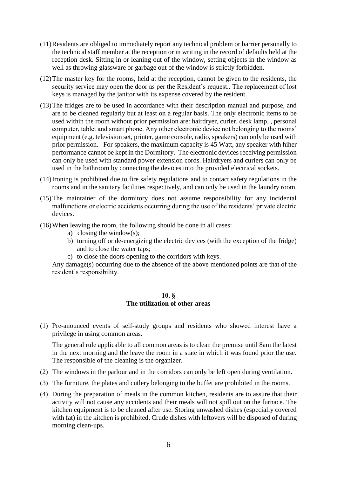- (11)Residents are obliged to immediately report any technical problem or barrier personally to the technical staff member at the reception or in writing in the record of defaults held at the reception desk. Sitting in or leaning out of the window, setting objects in the window as well as throwing glassware or garbage out of the window is strictly forbidden.
- (12)The master key for the rooms, held at the reception, cannot be given to the residents, the security service may open the door as per the Resident's request.. The replacement of lost keys is managed by the janitor with its expense covered by the resident.
- (13)The fridges are to be used in accordance with their description manual and purpose, and are to be cleaned regularly but at least on a regular basis. The only electronic items to be used within the room without prior permission are: hairdryer, curler, desk lamp, , personal computer, tablet and smart phone. Any other electronic device not belonging to the rooms' equipment (e.g. television set, printer, game console, radio, speakers) can only be used with prior permission. For speakers, the maximum capacity is 45 Watt, any speaker with hiher performance cannot be kept in the Dormitory. The electronic devices receiving permission can only be used with standard power extension cords. Hairdryers and curlers can only be used in the bathroom by connecting the devices into the provided electrical sockets.
- (14)Ironing is prohibited due to fire safety regulations and to contact safety regulations in the rooms and in the sanitary facilities respectively, and can only be used in the laundry room.
- (15)The maintainer of the dormitory does not assume responsibility for any incidental malfunctions or electric accidents occurring during the use of the residents' private electric devices.
- (16)When leaving the room, the following should be done in all cases:
	- a) closing the window(s);
	- b) turning off or de-energizing the electric devices (with the exception of the fridge) and to close the water taps;
	- c) to close the doors opening to the corridors with keys.

Any damage(s) occurring due to the absence of the above mentioned points are that of the resident's responsibility.

#### **10. § The utilization of other areas**

(1) Pre-anounced events of self-study groups and residents who showed interest have a privilege in using common areas.

The general rule applicable to all common areas is to clean the premise until 8am the latest in the next morning and the leave the room in a state in which it was found prior the use. The responsible of the cleaning is the organizer.

- (2) The windows in the parlour and in the corridors can only be left open during ventilation.
- (3) The furniture, the plates and cutlery belonging to the buffet are prohibited in the rooms.
- (4) During the preparation of meals in the common kitchen, residents are to assure that their activity will not cause any accidents and their meals will not spill out on the furnace. The kitchen equipment is to be cleaned after use. Storing unwashed dishes (especially covered with fat) in the kitchen is prohibited. Crude dishes with leftovers will be disposed of during morning clean-ups.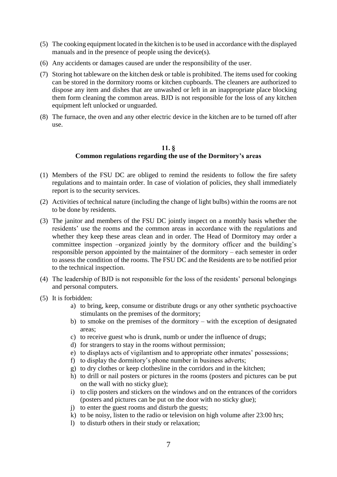- (5) The cooking equipment located in the kitchen is to be used in accordance with the displayed manuals and in the presence of people using the device(s).
- (6) Any accidents or damages caused are under the responsibility of the user.
- (7) Storing hot tableware on the kitchen desk or table is prohibited. The items used for cooking can be stored in the dormitory rooms or kitchen cupboards. The cleaners are authorized to dispose any item and dishes that are unwashed or left in an inappropriate place blocking them form cleaning the common areas. BJD is not responsible for the loss of any kitchen equipment left unlocked or unguarded.
- (8) The furnace, the oven and any other electric device in the kitchen are to be turned off after use.

# **11. § Common regulations regarding the use of the Dormitory's areas**

- (1) Members of the FSU DC are obliged to remind the residents to follow the fire safety regulations and to maintain order. In case of violation of policies, they shall immediately report is to the security services.
- (2) Activities of technical nature (including the change of light bulbs) within the rooms are not to be done by residents.
- (3) The janitor and members of the FSU DC jointly inspect on a monthly basis whether the residents' use the rooms and the common areas in accordance with the regulations and whether they keep these areas clean and in order. The Head of Dormitory may order a committee inspection –organized jointly by the dormitory officer and the building's responsible person appointed by the maintainer of the dormitory – each semester in order to assess the condition of the rooms. The FSU DC and the Residents are to be notified prior to the technical inspection.
- (4) The leadership of BJD is not responsible for the loss of the residents' personal belongings and personal computers.
- (5) It is forbidden:
	- a) to bring, keep, consume or distribute drugs or any other synthetic psychoactive stimulants on the premises of the dormitory;
	- b) to smoke on the premises of the dormitory with the exception of designated areas;
	- c) to receive guest who is drunk, numb or under the influence of drugs;
	- d) for strangers to stay in the rooms without permission;
	- e) to displays acts of vigilantism and to appropriate other inmates' possessions;
	- f) to display the dormitory's phone number in business adverts;
	- g) to dry clothes or keep clothesline in the corridors and in the kitchen;
	- h) to drill or nail posters or pictures in the rooms (posters and pictures can be put on the wall with no sticky glue);
	- i) to clip posters and stickers on the windows and on the entrances of the corridors (posters and pictures can be put on the door with no sticky glue);
	- j) to enter the guest rooms and disturb the guests;
	- k) to be noisy, listen to the radio or television on high volume after 23:00 hrs;
	- l) to disturb others in their study or relaxation;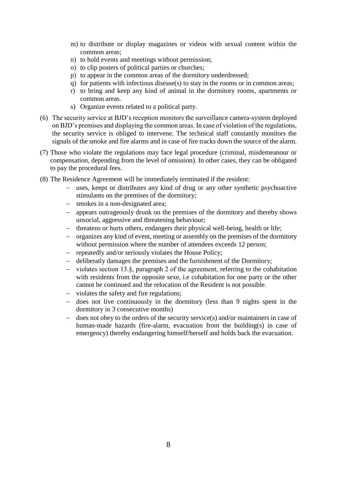- m) to distribute or display magazines or videos with sexual content within the common areas;
- n) to hold events and meetings without permission;
- o) to clip posters of political parties or churches;
- p) to appear in the common areas of the dormitory underdressed;
- q) for patients with infectious disease(s) to stay in the rooms or in common areas;
- r) to bring and keep any kind of animal in the dormitory rooms, apartments or common areas.
- s) Organize events related to a political party.
- (6) The security service at BJD's reception monitors the surveillance camera-system deployed on BJD's premises and displaying the common areas. In case of violation of the regulations, the security service is obliged to intervene. The technical staff constantly monitors the signals of the smoke and fire alarms and in case of fire tracks down the source of the alarm.
- (7) Those who violate the regulations may face legal procedure (criminal, misdemeanour or compensation, depending from the level of omission). In other cases, they can be obligated to pay the procedural fees.
- (8) The Residence Agreement will be immediately terminated if the resident:
	- uses, keeps or distributes any kind of drug or any other synthetic psychoactive stimulants on the premises of the dormitory;
	- smokes in a non-designated area;
	- appears outrageously drunk on the premises of the dormitory and thereby shows unsocial, aggressive and threatening behaviour;
	- threatens or hurts others, endangers their physical well-being, health or life;
	- organizes any kind of event, meeting or assembly on the premises of the dormitory without permission where the number of attendees exceeds 12 person;
	- repeatedly and/or seriously violates the House Policy;
	- deliberatly damages the premises and the furnishment of the Dormitory;
	- violates section 13.§, paragraph 2 of the agreement, referring to the cohabitation with residents from the opposite sexe, i.e cohabitation for one party or the other cannot be continued and the relocation of the Resident is not possible.
	- violates the safety and fire regulations;
	- does not live continuously in the dormitory (less than 9 nights spent in the dormitory in 3 consecutive months)
	- does not obey to the orders of the security service(s) and/or maintainers in case of human-made hazards (fire-alarm, evacuation from the building(s) in case of emergency) thereby endangering himself/herself and holds back the evacuation.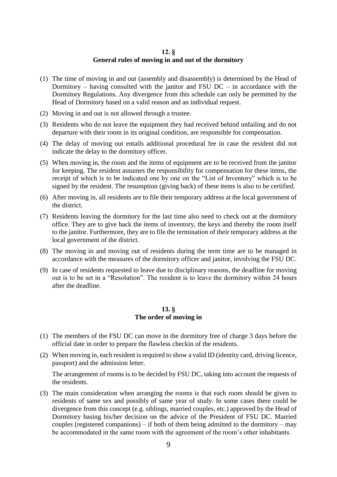# **12. § General rules of moving in and out of the dormitory**

- (1) The time of moving in and out (assembly and disassembly) is determined by the Head of Dormitory – having consulted with the janitor and FSU  $DC - in$  accordance with the Dormitory Regulations. Any divergence from this schedule can only be permitted by the Head of Dormitory based on a valid reason and an individual request.
- (2) Moving in and out is not allowed through a trustee.
- (3) Residents who do not leave the equipment they had received behind unfailing and do not departure with their room in its original condition, are responsible for compensation.
- (4) The delay of moving out entails additional procedural fee in case the resident did not indicate the delay to the dormitory officer.
- (5) When moving in, the room and the items of equipment are to be received from the janitor for keeping. The resident assumes the responsibility for compensation for these items, the receipt of which is to be indicated one by one on the "List of Inventory" which is to be signed by the resident. The resumption (giving back) of these items is also to be certified.
- (6) After moving in, all residents are to file their temporary address at the local government of the district.
- (7) Residents leaving the dormitory for the last time also need to check out at the dormitory office. They are to give back the items of inventory, the keys and thereby the room itself to the janitor. Furthermore, they are to file the termination of their temporary address at the local government of the district.
- (8) The moving in and moving out of residents during the term time are to be managed in accordance with the measures of the dormitory officer and janitor, involving the FSU DC.
- (9) In case of residents requested to leave due to disciplinary reasons, the deadline for moving out is to be set in a "Resolution". The resident is to leave the dormitory within 24 hours after the deadline.

#### **13. § The order of moving in**

- (1) The members of the FSU DC can move in the dormitory free of charge 3 days before the official date in order to prepare the flawless checkin of the residents.
- (2) When moving in, each resident is required to show a valid ID (identity card, driving licence, passport) and the admission letter.

The arrangement of rooms is to be decided by FSU DC, taking into account the requests of the residents.

(3) The main consideration when arranging the rooms is that each room should be given to residents of same sex and possibly of same year of study. In some cases there could be divergence from this concept (e.g. siblings, married couples, etc.) approved by the Head of Dormitory basing his/her decision on the advice of the President of FSU DC. Married couples (registered companions) – if both of them being admitted to the dormitory – may be accommodated in the same room with the agreement of the room's other inhabitants.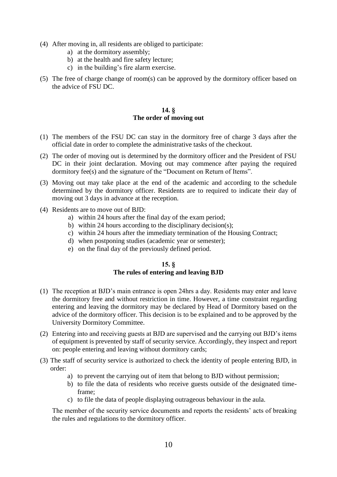- (4) After moving in, all residents are obliged to participate:
	- a) at the dormitory assembly;
	- b) at the health and fire safety lecture;
	- c) in the building's fire alarm exercise.
- (5) The free of charge change of room(s) can be approved by the dormitory officer based on the advice of FSU DC.

# **14. § The order of moving out**

- (1) The members of the FSU DC can stay in the dormitory free of charge 3 days after the official date in order to complete the administrative tasks of the checkout.
- (2) The order of moving out is determined by the dormitory officer and the President of FSU DC in their joint declaration. Moving out may commence after paying the required dormitory fee(s) and the signature of the "Document on Return of Items".
- (3) Moving out may take place at the end of the academic and according to the schedule determined by the dormitory officer. Residents are to required to indicate their day of moving out 3 days in advance at the reception.
- (4) Residents are to move out of BJD:
	- a) within 24 hours after the final day of the exam period;
	- b) within 24 hours according to the disciplinary decision(s);
	- c) within 24 hours after the immediaty termination of the Housing Contract;
	- d) when postponing studies (academic year or semester);
	- e) on the final day of the previously defined period.

# **15. § The rules of entering and leaving BJD**

- (1) The reception at BJD's main entrance is open 24hrs a day. Residents may enter and leave the dormitory free and without restriction in time. However, a time constraint regarding entering and leaving the dormitory may be declared by Head of Dormitory based on the advice of the dormitory officer. This decision is to be explained and to be approved by the University Dormitory Committee.
- (2) Entering into and receiving guests at BJD are supervised and the carrying out BJD's items of equipment is prevented by staff of security service. Accordingly, they inspect and report on: people entering and leaving without dormitory cards;
- (3) The staff of security service is authorized to check the identity of people entering BJD, in order:
	- a) to prevent the carrying out of item that belong to BJD without permission;
	- b) to file the data of residents who receive guests outside of the designated timeframe;
	- c) to file the data of people displaying outrageous behaviour in the aula.

The member of the security service documents and reports the residents' acts of breaking the rules and regulations to the dormitory officer.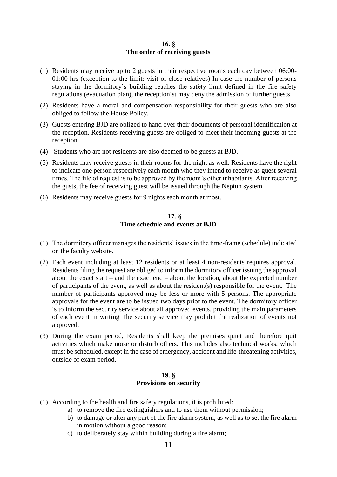# **16. § The order of receiving guests**

- (1) Residents may receive up to 2 guests in their respective rooms each day between 06:00- 01:00 hrs (exception to the limit: visit of close relatives) In case the number of persons staying in the dormitory's building reaches the safety limit defined in the fire safety regulations (evacuation plan), the receptionist may deny the admission of further guests.
- (2) Residents have a moral and compensation responsibility for their guests who are also obliged to follow the House Policy.
- (3) Guests entering BJD are obliged to hand over their documents of personal identification at the reception. Residents receiving guests are obliged to meet their incoming guests at the reception.
- (4) Students who are not residents are also deemed to be guests at BJD.
- (5) Residents may receive guests in their rooms for the night as well. Residents have the right to indicate one person respectively each month who they intend to receive as guest several times. The file of request is to be approved by the room's other inhabitants. After receiving the gusts, the fee of receiving guest will be issued through the Neptun system.
- (6) Residents may receive guests for 9 nights each month at most.

#### **17. § Time schedule and events at BJD**

- (1) The dormitory officer manages the residents' issues in the time-frame (schedule) indicated on the faculty website.
- (2) Each event including at least 12 residents or at least 4 non-residents requires approval. Residents filing the request are obliged to inform the dormitory officer issuing the approval about the exact start – and the exact end – about the location, about the expected number of participants of the event, as well as about the resident(s) responsible for the event. The number of participants approved may be less or more with 5 persons. The appropriate approvals for the event are to be issued two days prior to the event. The dormitory officer is to inform the security service about all approved events, providing the main parameters of each event in writing The security service may prohibit the realization of events not approved.
- (3) During the exam period, Residents shall keep the premises quiet and therefore quit activities which make noise or disturb others. This includes also technical works, which must be scheduled, except in the case of emergency, accident and life-threatening activities, outside of exam period.

# **18. § Provisions on security**

- (1) According to the health and fire safety regulations, it is prohibited:
	- a) to remove the fire extinguishers and to use them without permission;
	- b) to damage or alter any part of the fire alarm system, as well as to set the fire alarm in motion without a good reason;
	- c) to deliberately stay within building during a fire alarm;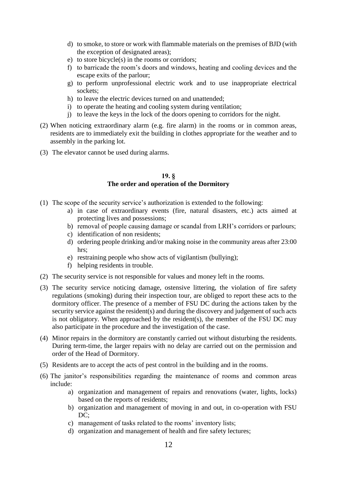- d) to smoke, to store or work with flammable materials on the premises of BJD (with the exception of designated areas);
- e) to store bicycle(s) in the rooms or corridors;
- f) to barricade the room's doors and windows, heating and cooling devices and the escape exits of the parlour;
- g) to perform unprofessional electric work and to use inappropriate electrical sockets;
- h) to leave the electric devices turned on and unattended;
- i) to operate the heating and cooling system during ventilation;
- j) to leave the keys in the lock of the doors opening to corridors for the night.
- (2) When noticing extraordinary alarm (e.g. fire alarm) in the rooms or in common areas, residents are to immediately exit the building in clothes appropriate for the weather and to assembly in the parking lot.
- (3) The elevator cannot be used during alarms.

#### **19. § The order and operation of the Dormitory**

- (1) The scope of the security service's authorization is extended to the following:
	- a) in case of extraordinary events (fire, natural disasters, etc.) acts aimed at protecting lives and possessions;
	- b) removal of people causing damage or scandal from LRH's corridors or parlours;
	- c) identification of non residents;
	- d) ordering people drinking and/or making noise in the community areas after 23:00 hrs;
	- e) restraining people who show acts of vigilantism (bullying);
	- f) helping residents in trouble.
- (2) The security service is not responsible for values and money left in the rooms.
- (3) The security service noticing damage, ostensive littering, the violation of fire safety regulations (smoking) during their inspection tour, are obliged to report these acts to the dormitory officer. The presence of a member of FSU DC during the actions taken by the security service against the resident(s) and during the discovery and judgement of such acts is not obligatory. When approached by the resident(s), the member of the FSU DC may also participate in the procedure and the investigation of the case.
- (4) Minor repairs in the dormitory are constantly carried out without disturbing the residents. During term-time, the larger repairs with no delay are carried out on the permission and order of the Head of Dormitory.
- (5) Residents are to accept the acts of pest control in the building and in the rooms.
- (6) The janitor's responsibilities regarding the maintenance of rooms and common areas include:
	- a) organization and management of repairs and renovations (water, lights, locks) based on the reports of residents;
	- b) organization and management of moving in and out, in co-operation with FSU DC:
	- c) management of tasks related to the rooms' inventory lists;
	- d) organization and management of health and fire safety lectures;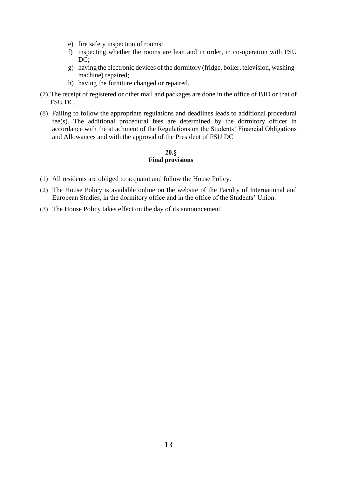- e) fire safety inspection of rooms;
- f) inspecting whether the rooms are lean and in order, in co-operation with FSU DC:
- g) having the electronic devices of the dormitory (fridge, boiler, television, washingmachine) repaired;
- h) having the furniture changed or repaired.
- (7) The receipt of registered or other mail and packages are done in the office of BJD or that of FSU DC.
- (8) Failing to follow the appropriate regulations and deadlines leads to additional procedural fee(s). The additional procedural fees are determined by the dormitory officer in accordance with the attachment of the Regulations on the Students' Financial Obligations and Allowances and with the approval of the President of FSU DC

# **20.§ Final provisions**

- (1) All residents are obliged to acquaint and follow the House Policy.
- (2) The House Policy is available online on the website of the Faculty of International and European Studies, in the dormitory office and in the office of the Students' Union.
- (3) The House Policy takes effect on the day of its announcement.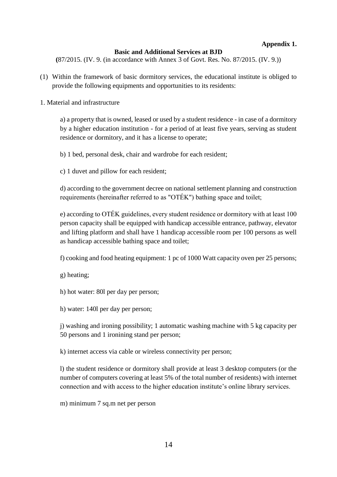# **Appendix 1.**

# **Basic and Additional Services at BJD**

**(**87/2015. (IV. 9. (in accordance with Annex 3 of Govt. Res. No. 87/2015. (IV. 9.))

- (1) Within the framework of basic dormitory services, the educational institute is obliged to provide the following equipments and opportunities to its residents:
- 1. Material and infrastructure

a) a property that is owned, leased or used by a student residence - in case of a dormitory by a higher education institution - for a period of at least five years, serving as student residence or dormitory, and it has a license to operate;

- b) 1 bed, personal desk, chair and wardrobe for each resident;
- c) 1 duvet and pillow for each resident;

d) according to the government decree on national settlement planning and construction requirements (hereinafter referred to as "OTÉK") bathing space and toilet;

e) according to OTÉK guidelines, every student residence or dormitory with at least 100 person capacity shall be equipped with handicap accessible entrance, pathway, elevator and lifting platform and shall have 1 handicap accessible room per 100 persons as well as handicap accessible bathing space and toilet;

f) cooking and food heating equipment: 1 pc of 1000 Watt capacity oven per 25 persons;

- g) heating;
- h) hot water: 80l per day per person;
- h) water: 140l per day per person;

j) washing and ironing possibility; 1 automatic washing machine with 5 kg capacity per 50 persons and 1 ironining stand per person;

k) internet access via cable or wireless connectivity per person;

l) the student residence or dormitory shall provide at least 3 desktop computers (or the number of computers covering at least 5% of the total number of residents) with internet connection and with access to the higher education institute's online library services.

m) minimum 7 sq.m net per person